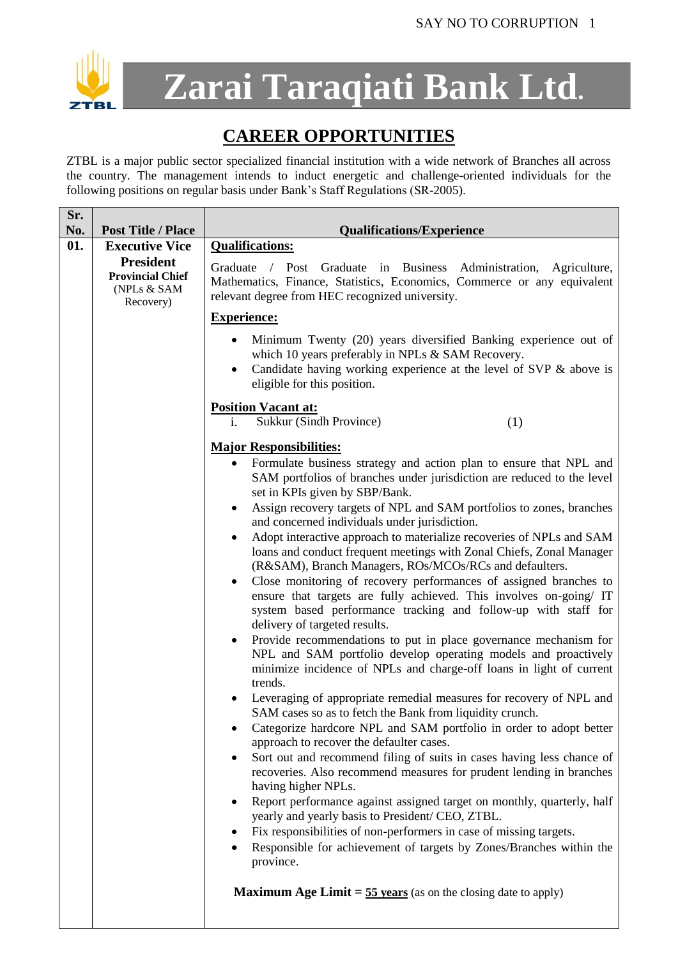

**Zarai Taraqiati Bank Ltd.**

## **CAREER OPPORTUNITIES**

ZTBL is a major public sector specialized financial institution with a wide network of Branches all across the country. The management intends to induct energetic and challenge-oriented individuals for the following positions on regular basis under Bank's Staff Regulations (SR-2005).

| No.<br><b>Post Title / Place</b>                                        | <b>Qualifications/Experience</b>                                                                                                                                                                                                                                                                                                                                                                                                                                                                                                                                                                                                                                                                                                                                                                                                                                                                                                                                                                                                                                                                                                                                                                                                                                                                                                                                                                                                                                                                                                                                                                                                                                                                                                                                                                                                                                                                                            |
|-------------------------------------------------------------------------|-----------------------------------------------------------------------------------------------------------------------------------------------------------------------------------------------------------------------------------------------------------------------------------------------------------------------------------------------------------------------------------------------------------------------------------------------------------------------------------------------------------------------------------------------------------------------------------------------------------------------------------------------------------------------------------------------------------------------------------------------------------------------------------------------------------------------------------------------------------------------------------------------------------------------------------------------------------------------------------------------------------------------------------------------------------------------------------------------------------------------------------------------------------------------------------------------------------------------------------------------------------------------------------------------------------------------------------------------------------------------------------------------------------------------------------------------------------------------------------------------------------------------------------------------------------------------------------------------------------------------------------------------------------------------------------------------------------------------------------------------------------------------------------------------------------------------------------------------------------------------------------------------------------------------------|
| 01.<br><b>Executive Vice</b>                                            | <b>Qualifications:</b>                                                                                                                                                                                                                                                                                                                                                                                                                                                                                                                                                                                                                                                                                                                                                                                                                                                                                                                                                                                                                                                                                                                                                                                                                                                                                                                                                                                                                                                                                                                                                                                                                                                                                                                                                                                                                                                                                                      |
| <b>President</b><br><b>Provincial Chief</b><br>(NPLs & SAM<br>Recovery) | / Post Graduate in Business Administration, Agriculture,<br>Graduate<br>Mathematics, Finance, Statistics, Economics, Commerce or any equivalent<br>relevant degree from HEC recognized university.                                                                                                                                                                                                                                                                                                                                                                                                                                                                                                                                                                                                                                                                                                                                                                                                                                                                                                                                                                                                                                                                                                                                                                                                                                                                                                                                                                                                                                                                                                                                                                                                                                                                                                                          |
|                                                                         | <b>Experience:</b>                                                                                                                                                                                                                                                                                                                                                                                                                                                                                                                                                                                                                                                                                                                                                                                                                                                                                                                                                                                                                                                                                                                                                                                                                                                                                                                                                                                                                                                                                                                                                                                                                                                                                                                                                                                                                                                                                                          |
|                                                                         | Minimum Twenty (20) years diversified Banking experience out of<br>which 10 years preferably in NPLs & SAM Recovery.<br>Candidate having working experience at the level of SVP & above is<br>$\bullet$<br>eligible for this position.                                                                                                                                                                                                                                                                                                                                                                                                                                                                                                                                                                                                                                                                                                                                                                                                                                                                                                                                                                                                                                                                                                                                                                                                                                                                                                                                                                                                                                                                                                                                                                                                                                                                                      |
|                                                                         | <b>Position Vacant at:</b><br>Sukkur (Sindh Province)<br>(1)<br>i.                                                                                                                                                                                                                                                                                                                                                                                                                                                                                                                                                                                                                                                                                                                                                                                                                                                                                                                                                                                                                                                                                                                                                                                                                                                                                                                                                                                                                                                                                                                                                                                                                                                                                                                                                                                                                                                          |
|                                                                         |                                                                                                                                                                                                                                                                                                                                                                                                                                                                                                                                                                                                                                                                                                                                                                                                                                                                                                                                                                                                                                                                                                                                                                                                                                                                                                                                                                                                                                                                                                                                                                                                                                                                                                                                                                                                                                                                                                                             |
|                                                                         | <b>Major Responsibilities:</b><br>Formulate business strategy and action plan to ensure that NPL and<br>$\bullet$<br>SAM portfolios of branches under jurisdiction are reduced to the level<br>set in KPIs given by SBP/Bank.<br>Assign recovery targets of NPL and SAM portfolios to zones, branches<br>٠<br>and concerned individuals under jurisdiction.<br>Adopt interactive approach to materialize recoveries of NPLs and SAM<br>loans and conduct frequent meetings with Zonal Chiefs, Zonal Manager<br>(R&SAM), Branch Managers, ROs/MCOs/RCs and defaulters.<br>Close monitoring of recovery performances of assigned branches to<br>$\bullet$<br>ensure that targets are fully achieved. This involves on-going/ IT<br>system based performance tracking and follow-up with staff for<br>delivery of targeted results.<br>Provide recommendations to put in place governance mechanism for<br>$\bullet$<br>NPL and SAM portfolio develop operating models and proactively<br>minimize incidence of NPLs and charge-off loans in light of current<br>trends.<br>Leveraging of appropriate remedial measures for recovery of NPL and<br>SAM cases so as to fetch the Bank from liquidity crunch.<br>Categorize hardcore NPL and SAM portfolio in order to adopt better<br>approach to recover the defaulter cases.<br>Sort out and recommend filing of suits in cases having less chance of<br>$\bullet$<br>recoveries. Also recommend measures for prudent lending in branches<br>having higher NPLs.<br>Report performance against assigned target on monthly, quarterly, half<br>yearly and yearly basis to President/ CEO, ZTBL.<br>Fix responsibilities of non-performers in case of missing targets.<br>Responsible for achievement of targets by Zones/Branches within the<br>$\bullet$<br>province.<br><b>Maximum Age Limit = <math>\frac{55 \text{ years}}{5}</math></b> (as on the closing date to apply) |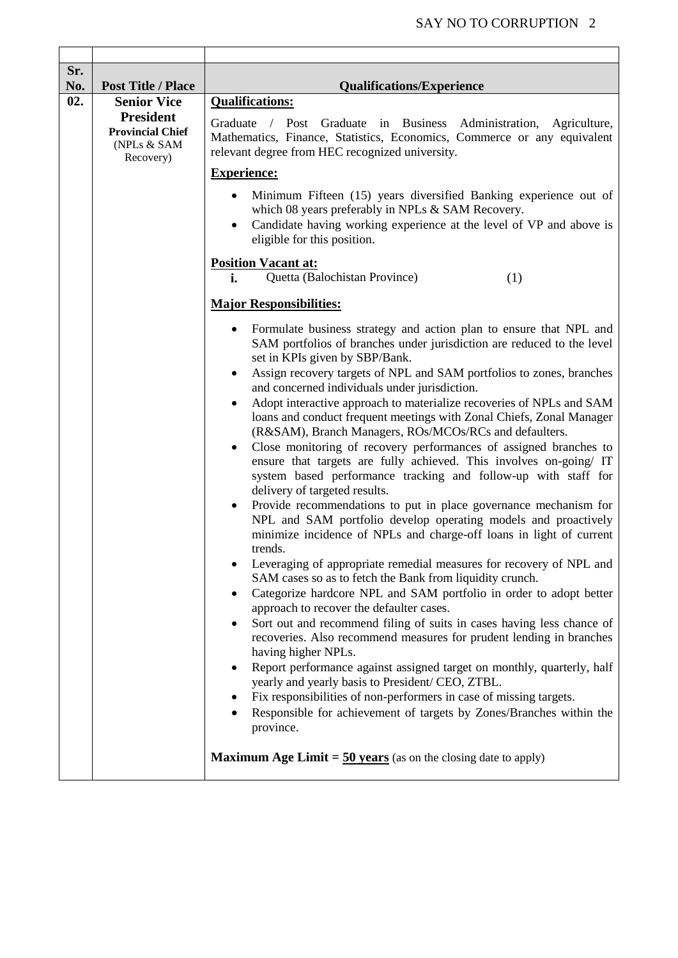| Sr.        |                                                                         |                                                                                                                                                                                                                                                                                                                                                                                                                                                                                                                                                                                                                                                                                                                                                                                                                                                                                                                                                                                                                                                                                                                                                                                                                                                                                                                                                                                                                                                                                                                                                                                                                                                                                                                                                                                                                                                 |
|------------|-------------------------------------------------------------------------|-------------------------------------------------------------------------------------------------------------------------------------------------------------------------------------------------------------------------------------------------------------------------------------------------------------------------------------------------------------------------------------------------------------------------------------------------------------------------------------------------------------------------------------------------------------------------------------------------------------------------------------------------------------------------------------------------------------------------------------------------------------------------------------------------------------------------------------------------------------------------------------------------------------------------------------------------------------------------------------------------------------------------------------------------------------------------------------------------------------------------------------------------------------------------------------------------------------------------------------------------------------------------------------------------------------------------------------------------------------------------------------------------------------------------------------------------------------------------------------------------------------------------------------------------------------------------------------------------------------------------------------------------------------------------------------------------------------------------------------------------------------------------------------------------------------------------------------------------|
| No.<br>02. | <b>Post Title / Place</b><br><b>Senior Vice</b>                         | <b>Qualifications/Experience</b><br><b>Qualifications:</b>                                                                                                                                                                                                                                                                                                                                                                                                                                                                                                                                                                                                                                                                                                                                                                                                                                                                                                                                                                                                                                                                                                                                                                                                                                                                                                                                                                                                                                                                                                                                                                                                                                                                                                                                                                                      |
|            | <b>President</b><br><b>Provincial Chief</b><br>(NPLs & SAM<br>Recovery) | Graduate<br>/ Post Graduate in Business Administration, Agriculture,<br>Mathematics, Finance, Statistics, Economics, Commerce or any equivalent<br>relevant degree from HEC recognized university.                                                                                                                                                                                                                                                                                                                                                                                                                                                                                                                                                                                                                                                                                                                                                                                                                                                                                                                                                                                                                                                                                                                                                                                                                                                                                                                                                                                                                                                                                                                                                                                                                                              |
|            |                                                                         | <b>Experience:</b>                                                                                                                                                                                                                                                                                                                                                                                                                                                                                                                                                                                                                                                                                                                                                                                                                                                                                                                                                                                                                                                                                                                                                                                                                                                                                                                                                                                                                                                                                                                                                                                                                                                                                                                                                                                                                              |
|            |                                                                         | Minimum Fifteen (15) years diversified Banking experience out of<br>which 08 years preferably in NPLs & SAM Recovery.<br>Candidate having working experience at the level of VP and above is<br>$\bullet$<br>eligible for this position.                                                                                                                                                                                                                                                                                                                                                                                                                                                                                                                                                                                                                                                                                                                                                                                                                                                                                                                                                                                                                                                                                                                                                                                                                                                                                                                                                                                                                                                                                                                                                                                                        |
|            |                                                                         | <b>Position Vacant at:</b><br>Quetta (Balochistan Province)<br>(1)<br>i.                                                                                                                                                                                                                                                                                                                                                                                                                                                                                                                                                                                                                                                                                                                                                                                                                                                                                                                                                                                                                                                                                                                                                                                                                                                                                                                                                                                                                                                                                                                                                                                                                                                                                                                                                                        |
|            |                                                                         | <b>Major Responsibilities:</b>                                                                                                                                                                                                                                                                                                                                                                                                                                                                                                                                                                                                                                                                                                                                                                                                                                                                                                                                                                                                                                                                                                                                                                                                                                                                                                                                                                                                                                                                                                                                                                                                                                                                                                                                                                                                                  |
|            |                                                                         | Formulate business strategy and action plan to ensure that NPL and<br>SAM portfolios of branches under jurisdiction are reduced to the level<br>set in KPIs given by SBP/Bank.<br>Assign recovery targets of NPL and SAM portfolios to zones, branches<br>٠<br>and concerned individuals under jurisdiction.<br>Adopt interactive approach to materialize recoveries of NPLs and SAM<br>loans and conduct frequent meetings with Zonal Chiefs, Zonal Manager<br>(R&SAM), Branch Managers, ROs/MCOs/RCs and defaulters.<br>Close monitoring of recovery performances of assigned branches to<br>ensure that targets are fully achieved. This involves on-going/ IT<br>system based performance tracking and follow-up with staff for<br>delivery of targeted results.<br>Provide recommendations to put in place governance mechanism for<br>$\bullet$<br>NPL and SAM portfolio develop operating models and proactively<br>minimize incidence of NPLs and charge-off loans in light of current<br>trends.<br>Leveraging of appropriate remedial measures for recovery of NPL and<br>SAM cases so as to fetch the Bank from liquidity crunch.<br>Categorize hardcore NPL and SAM portfolio in order to adopt better<br>approach to recover the defaulter cases.<br>Sort out and recommend filing of suits in cases having less chance of<br>٠<br>recoveries. Also recommend measures for prudent lending in branches<br>having higher NPLs.<br>Report performance against assigned target on monthly, quarterly, half<br>٠<br>yearly and yearly basis to President/ CEO, ZTBL.<br>Fix responsibilities of non-performers in case of missing targets.<br>Responsible for achievement of targets by Zones/Branches within the<br>province.<br><b>Maximum Age Limit = <math>\frac{50 \text{ years}}{2}</math></b> (as on the closing date to apply) |